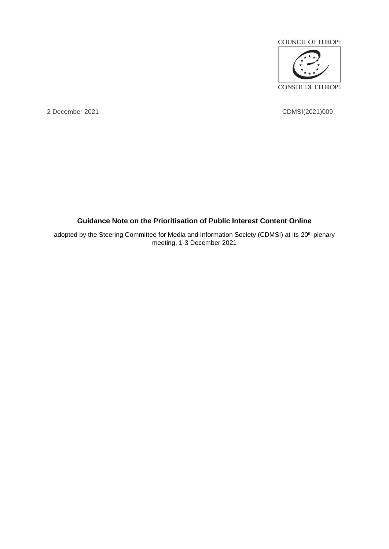

2 December 2021 CDMSI(2021)009

# **Guidance Note on the Prioritisation of Public Interest Content Online**

adopted by the Steering Committee for Media and Information Society (CDMSI) at its 20<sup>th</sup> plenary meeting, 1-3 December 2021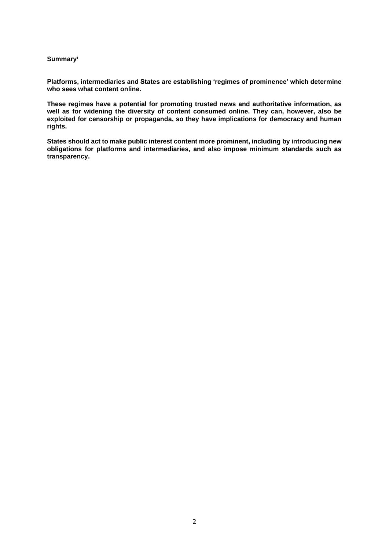#### **Summary<sup>i</sup>**

**Platforms, intermediaries and States are establishing 'regimes of prominence' which determine who sees what content online.**

**These regimes have a potential for promoting trusted news and authoritative information, as well as for widening the diversity of content consumed online. They can, however, also be exploited for censorship or propaganda, so they have implications for democracy and human rights.**

**States should act to make public interest content more prominent, including by introducing new obligations for platforms and intermediaries, and also impose minimum standards such as transparency.**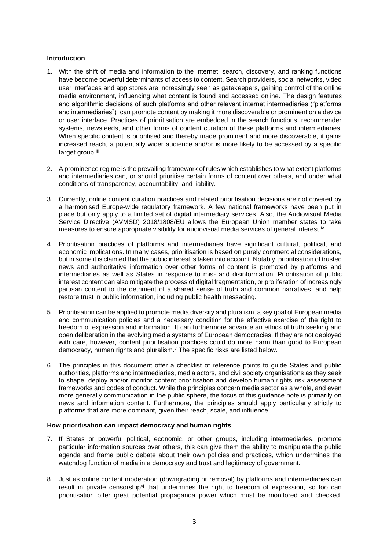## **Introduction**

- 1. With the shift of media and information to the internet, search, discovery, and ranking functions have become powerful determinants of access to content. Search providers, social networks, video user interfaces and app stores are increasingly seen as gatekeepers, gaining control of the online media environment, influencing what content is found and accessed online. The design features and algorithmic decisions of such platforms and other relevant internet intermediaries ("platforms and intermediaries")<sup>ii</sup> can promote content by making it more discoverable or prominent on a device or user interface. Practices of prioritisation are embedded in the search functions, recommender systems, newsfeeds, and other forms of content curation of these platforms and intermediaries. When specific content is prioritised and thereby made prominent and more discoverable, it gains increased reach, a potentially wider audience and/or is more likely to be accessed by a specific target group.iii
- 2. A prominence regime is the prevailing framework of rules which establishes to what extent platforms and intermediaries can, or should prioritise certain forms of content over others, and under what conditions of transparency, accountability, and liability.
- 3. Currently, online content curation practices and related prioritisation decisions are not covered by a harmonised Europe-wide regulatory framework. A few national frameworks have been put in place but only apply to a limited set of digital intermediary services. Also, the Audiovisual Media Service Directive (AVMSD) 2018/1808/EU allows the European Union member states to take measures to ensure appropriate visibility for audiovisual media services of general interest.<sup>iv</sup>
- 4. Prioritisation practices of platforms and intermediaries have significant cultural, political, and economic implications. In many cases, prioritisation is based on purely commercial considerations, but in some it is claimed that the public interest is taken into account. Notably, prioritisation of trusted news and authoritative information over other forms of content is promoted by platforms and intermediaries as well as States in response to mis- and disinformation. Prioritisation of public interest content can also mitigate the process of digital fragmentation, or proliferation of increasingly partisan content to the detriment of a shared sense of truth and common narratives, and help restore trust in public information, including public health messaging.
- 5. Prioritisation can be applied to promote media diversity and pluralism, a key goal of European media and communication policies and a necessary condition for the effective exercise of the right to freedom of expression and information. It can furthermore advance an ethics of truth seeking and open deliberation in the evolving media systems of European democracies. If they are not deployed with care, however, content prioritisation practices could do more harm than good to European democracy, human rights and pluralism.<sup>v</sup> The specific risks are listed below.
- 6. The principles in this document offer a checklist of reference points to guide States and public authorities, platforms and intermediaries, media actors, and civil society organisations as they seek to shape, deploy and/or monitor content prioritisation and develop human rights risk assessment frameworks and codes of conduct. While the principles concern media sector as a whole, and even more generally communication in the public sphere, the focus of this guidance note is primarily on news and information content. Furthermore, the principles should apply particularly strictly to platforms that are more dominant, given their reach, scale, and influence.

## **How prioritisation can impact democracy and human rights**

- 7. If States or powerful political, economic, or other groups, including intermediaries, promote particular information sources over others, this can give them the ability to manipulate the public agenda and frame public debate about their own policies and practices, which undermines the watchdog function of media in a democracy and trust and legitimacy of government.
- 8. Just as online content moderation (downgrading or removal) by platforms and intermediaries can result in private censorship<sup>yi</sup> that undermines the right to freedom of expression, so too can prioritisation offer great potential propaganda power which must be monitored and checked.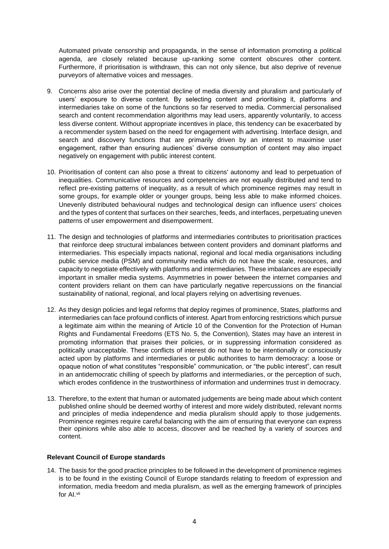Automated private censorship and propaganda, in the sense of information promoting a political agenda, are closely related because up-ranking some content obscures other content. Furthermore, if prioritisation is withdrawn, this can not only silence, but also deprive of revenue purveyors of alternative voices and messages.

- 9. Concerns also arise over the potential decline of media diversity and pluralism and particularly of users' exposure to diverse content. By selecting content and prioritising it, platforms and intermediaries take on some of the functions so far reserved to media. Commercial personalised search and content recommendation algorithms may lead users, apparently voluntarily, to access less diverse content. Without appropriate incentives in place, this tendency can be exacerbated by a recommender system based on the need for engagement with advertising. Interface design, and search and discovery functions that are primarily driven by an interest to maximise user engagement, rather than ensuring audiences' diverse consumption of content may also impact negatively on engagement with public interest content.
- 10. Prioritisation of content can also pose a threat to citizens' autonomy and lead to perpetuation of inequalities. Communicative resources and competencies are not equally distributed and tend to reflect pre-existing patterns of inequality, as a result of which prominence regimes may result in some groups, for example older or younger groups, being less able to make informed choices. Unevenly distributed behavioural nudges and technological design can influence users' choices and the types of content that surfaces on their searches, feeds, and interfaces, perpetuating uneven patterns of user empowerment and disempowerment.
- 11. The design and technologies of platforms and intermediaries contributes to prioritisation practices that reinforce deep structural imbalances between content providers and dominant platforms and intermediaries. This especially impacts national, regional and local media organisations including public service media (PSM) and community media which do not have the scale, resources, and capacity to negotiate effectively with platforms and intermediaries. These imbalances are especially important in smaller media systems. Asymmetries in power between the internet companies and content providers reliant on them can have particularly negative repercussions on the financial sustainability of national, regional, and local players relying on advertising revenues.
- 12. As they design policies and legal reforms that deploy regimes of prominence, States, platforms and intermediaries can face profound conflicts of interest. Apart from enforcing restrictions which pursue a legitimate aim within the meaning of Article 10 of the Convention for the Protection of Human Rights and Fundamental Freedoms (ETS No. 5, the Convention), States may have an interest in promoting information that praises their policies, or in suppressing information considered as politically unacceptable. These conflicts of interest do not have to be intentionally or consciously acted upon by platforms and intermediaries or public authorities to harm democracy: a loose or opaque notion of what constitutes "responsible" communication, or "the public interest", can result in an antidemocratic chilling of speech by platforms and intermediaries, or the perception of such, which erodes confidence in the trustworthiness of information and undermines trust in democracy.
- 13. Therefore, to the extent that human or automated judgements are being made about which content published online should be deemed worthy of interest and more widely distributed, relevant norms and principles of media independence and media pluralism should apply to those judgements. Prominence regimes require careful balancing with the aim of ensuring that everyone can express their opinions while also able to access, discover and be reached by a variety of sources and content.

## **Relevant Council of Europe standards**

14. The basis for the good practice principles to be followed in the development of prominence regimes is to be found in the existing Council of Europe standards relating to freedom of expression and information, media freedom and media pluralism, as well as the emerging framework of principles for AI.vii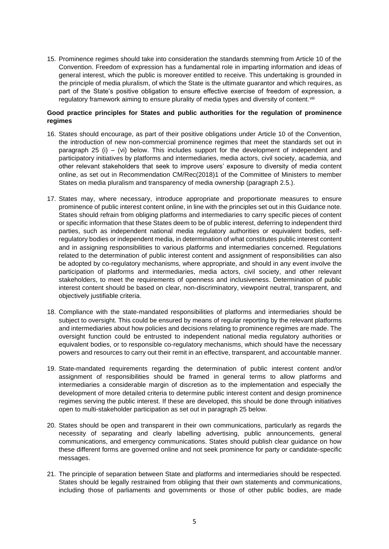15. Prominence regimes should take into consideration the standards stemming from Article 10 of the Convention. Freedom of expression has a fundamental role in imparting information and ideas of general interest, which the public is moreover entitled to receive. This undertaking is grounded in the principle of media pluralism, of which the State is the ultimate guarantor and which requires, as part of the State's positive obligation to ensure effective exercise of freedom of expression, a regulatory framework aiming to ensure plurality of media types and diversity of content.<sup>viii</sup>

## **Good practice principles for States and public authorities for the regulation of prominence regimes**

- 16. States should encourage, as part of their positive obligations under Article 10 of the Convention, the introduction of new non-commercial prominence regimes that meet the standards set out in paragraph 25 (i) – (vi) below. This includes support for the development of independent and participatory initiatives by platforms and intermediaries, media actors, civil society, academia, and other relevant stakeholders that seek to improve users' exposure to diversity of media content online, as set out in Recommendation CM/Rec(2018)1 of the Committee of Ministers to member States on media pluralism and transparency of media ownership (paragraph 2.5.).
- 17. States may, where necessary, introduce appropriate and proportionate measures to ensure prominence of public interest content online, in line with the principles set out in this Guidance note. States should refrain from obliging platforms and intermediaries to carry specific pieces of content or specific information that these States deem to be of public interest, deferring to independent third parties, such as independent national media regulatory authorities or equivalent bodies, selfregulatory bodies or independent media, in determination of what constitutes public interest content and in assigning responsibilities to various platforms and intermediaries concerned. Regulations related to the determination of public interest content and assignment of responsibilities can also be adopted by co-regulatory mechanisms, where appropriate, and should in any event involve the participation of platforms and intermediaries, media actors, civil society, and other relevant stakeholders, to meet the requirements of openness and inclusiveness. Determination of public interest content should be based on clear, non-discriminatory, viewpoint neutral, transparent, and objectively justifiable criteria.
- 18. Compliance with the state-mandated responsibilities of platforms and intermediaries should be subject to oversight. This could be ensured by means of regular reporting by the relevant platforms and intermediaries about how policies and decisions relating to prominence regimes are made. The oversight function could be entrusted to independent national media regulatory authorities or equivalent bodies, or to responsible co-regulatory mechanisms, which should have the necessary powers and resources to carry out their remit in an effective, transparent, and accountable manner.
- 19. State-mandated requirements regarding the determination of public interest content and/or assignment of responsibilities should be framed in general terms to allow platforms and intermediaries a considerable margin of discretion as to the implementation and especially the development of more detailed criteria to determine public interest content and design prominence regimes serving the public interest. If these are developed, this should be done through initiatives open to multi-stakeholder participation as set out in paragraph 25 below.
- 20. States should be open and transparent in their own communications, particularly as regards the necessity of separating and clearly labelling advertising, public announcements, general communications, and emergency communications. States should publish clear guidance on how these different forms are governed online and not seek prominence for party or candidate-specific messages.
- 21. The principle of separation between State and platforms and intermediaries should be respected. States should be legally restrained from obliging that their own statements and communications, including those of parliaments and governments or those of other public bodies, are made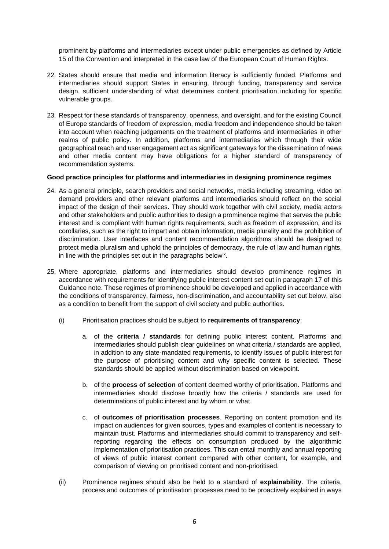prominent by platforms and intermediaries except under public emergencies as defined by Article 15 of the Convention and interpreted in the case law of the European Court of Human Rights.

- 22. States should ensure that media and information literacy is sufficiently funded. Platforms and intermediaries should support States in ensuring, through funding, transparency and service design, sufficient understanding of what determines content prioritisation including for specific vulnerable groups.
- 23. Respect for these standards of transparency, openness, and oversight, and for the existing Council of Europe standards of freedom of expression, media freedom and independence should be taken into account when reaching judgements on the treatment of platforms and intermediaries in other realms of public policy. In addition, platforms and intermediaries which through their wide geographical reach and user engagement act as significant gateways for the dissemination of news and other media content may have obligations for a higher standard of transparency of recommendation systems.

#### **Good practice principles for platforms and intermediaries in designing prominence regimes**

- 24. As a general principle, search providers and social networks, media including streaming, video on demand providers and other relevant platforms and intermediaries should reflect on the social impact of the design of their services. They should work together with civil society, media actors and other stakeholders and public authorities to design a prominence regime that serves the public interest and is compliant with human rights requirements, such as freedom of expression, and its corollaries, such as the right to impart and obtain information, media plurality and the prohibition of discrimination. User interfaces and content recommendation algorithms should be designed to protect media pluralism and uphold the principles of democracy, the rule of law and human rights, in line with the principles set out in the paragraphs below<sup>ix</sup>.
- 25. Where appropriate, platforms and intermediaries should develop prominence regimes in accordance with requirements for identifying public interest content set out in paragraph 17 of this Guidance note. These regimes of prominence should be developed and applied in accordance with the conditions of transparency, fairness, non-discrimination, and accountability set out below, also as a condition to benefit from the support of civil society and public authorities.
	- (i) Prioritisation practices should be subject to **requirements of transparency**:
		- a. of the **criteria / standards** for defining public interest content. Platforms and intermediaries should publish clear guidelines on what criteria / standards are applied, in addition to any state-mandated requirements, to identify issues of public interest for the purpose of prioritising content and why specific content is selected. These standards should be applied without discrimination based on viewpoint.
		- b. of the **process of selection** of content deemed worthy of prioritisation. Platforms and intermediaries should disclose broadly how the criteria / standards are used for determinations of public interest and by whom or what.
		- c. of **outcomes of prioritisation processes**. Reporting on content promotion and its impact on audiences for given sources, types and examples of content is necessary to maintain trust. Platforms and intermediaries should commit to transparency and selfreporting regarding the effects on consumption produced by the algorithmic implementation of prioritisation practices. This can entail monthly and annual reporting of views of public interest content compared with other content, for example, and comparison of viewing on prioritised content and non-prioritised.
	- (ii) Prominence regimes should also be held to a standard of **explainability**. The criteria, process and outcomes of prioritisation processes need to be proactively explained in ways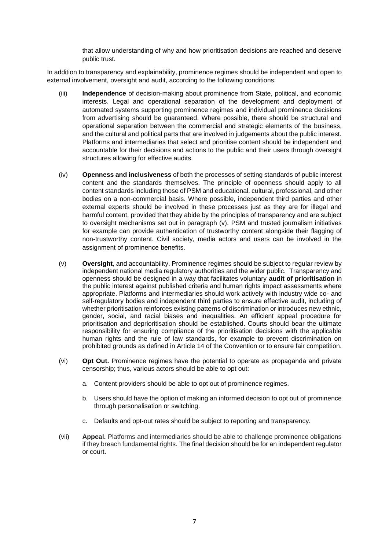that allow understanding of why and how prioritisation decisions are reached and deserve public trust.

In addition to transparency and explainability, prominence regimes should be independent and open to external involvement, oversight and audit, according to the following conditions:

- (iii) **Independence** of decision-making about prominence from State, political, and economic interests. Legal and operational separation of the development and deployment of automated systems supporting prominence regimes and individual prominence decisions from advertising should be guaranteed. Where possible, there should be structural and operational separation between the commercial and strategic elements of the business, and the cultural and political parts that are involved in judgements about the public interest. Platforms and intermediaries that select and prioritise content should be independent and accountable for their decisions and actions to the public and their users through oversight structures allowing for effective audits.
- (iv) **Openness and inclusiveness** of both the processes of setting standards of public interest content and the standards themselves. The principle of openness should apply to all content standards including those of PSM and educational, cultural, professional, and other bodies on a non-commercial basis. Where possible, independent third parties and other external experts should be involved in these processes just as they are for illegal and harmful content, provided that they abide by the principles of transparency and are subject to oversight mechanisms set out in paragraph (v). PSM and trusted journalism initiatives for example can provide authentication of trustworthy content alongside their flagging of non-trustworthy content. Civil society, media actors and users can be involved in the assignment of prominence benefits.
- (v) **Oversight**, and accountability. Prominence regimes should be subject to regular review by independent national media regulatory authorities and the wider public. Transparency and openness should be designed in a way that facilitates voluntary **audit of prioritisation** in the public interest against published criteria and human rights impact assessments where appropriate. Platforms and intermediaries should work actively with industry wide co- and self-regulatory bodies and independent third parties to ensure effective audit, including of whether prioritisation reinforces existing patterns of discrimination or introduces new ethnic, gender, social, and racial biases and inequalities. An efficient appeal procedure for prioritisation and deprioritisation should be established. Courts should bear the ultimate responsibility for ensuring compliance of the prioritisation decisions with the applicable human rights and the rule of law standards, for example to prevent discrimination on prohibited grounds as defined in Article 14 of the Convention or to ensure fair competition.
- (vi) **Opt Out.** Prominence regimes have the potential to operate as propaganda and private censorship; thus, various actors should be able to opt out:
	- a. Content providers should be able to opt out of prominence regimes.
	- b. Users should have the option of making an informed decision to opt out of prominence through personalisation or switching.
	- c. Defaults and opt-out rates should be subject to reporting and transparency.
- (vii) **Appeal.** Platforms and intermediaries should be able to challenge prominence obligations if they breach fundamental rights. The final decision should be for an independent regulator or court.